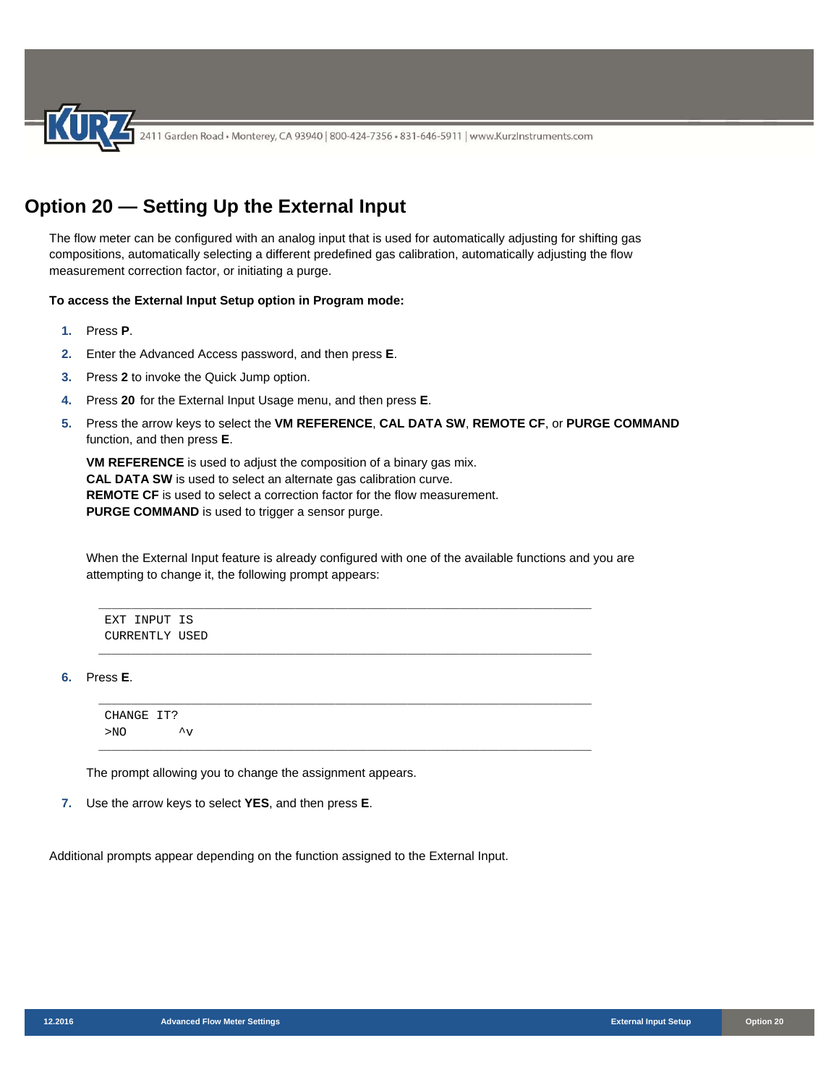2411 Garden Road • Monterey, CA 93940 | 800-424-7356 • 831-646-5911 | www.KurzInstruments.com

# **Option 20 — Setting Up the External Input**

The flow meter can be configured with an analog input that is used for automatically adjusting for shifting gas compositions, automatically selecting a different predefined gas calibration, automatically adjusting the flow measurement correction factor, or initiating a purge.

#### **To access the External Input Setup option in Program mode:**

- **1.** Press **P**.
- **2.** Enter the Advanced Access password, and then press **E**.
- **3.** Press **2** to invoke the Quick Jump option.
- **4.** Press **20** for the External Input Usage menu, and then press **E**.
- **5.** Press the arrow keys to select the **VM REFERENCE**, **CAL DATA SW**, **REMOTE CF**, or **PURGE COMMAND** function, and then press **E**.

**VM REFERENCE** is used to adjust the composition of a binary gas mix. **CAL DATA SW** is used to select an alternate gas calibration curve. **REMOTE CF** is used to select a correction factor for the flow measurement. **PURGE COMMAND** is used to trigger a sensor purge.

When the External Input feature is already configured with one of the available functions and you are attempting to change it, the following prompt appears:

\_\_\_\_\_\_\_\_\_\_\_\_\_\_\_\_\_\_\_\_\_\_\_\_\_\_\_\_\_\_\_\_\_\_\_\_\_\_\_\_\_\_\_\_\_\_\_\_\_\_\_\_\_\_\_\_\_\_\_\_\_\_\_\_\_\_\_\_\_\_\_\_\_\_\_

\_\_\_\_\_\_\_\_\_\_\_\_\_\_\_\_\_\_\_\_\_\_\_\_\_\_\_\_\_\_\_\_\_\_\_\_\_\_\_\_\_\_\_\_\_\_\_\_\_\_\_\_\_\_\_\_\_\_\_\_\_\_\_\_\_\_\_\_\_\_\_\_\_\_\_

\_\_\_\_\_\_\_\_\_\_\_\_\_\_\_\_\_\_\_\_\_\_\_\_\_\_\_\_\_\_\_\_\_\_\_\_\_\_\_\_\_\_\_\_\_\_\_\_\_\_\_\_\_\_\_\_\_\_\_\_\_\_\_\_\_\_\_\_\_\_\_\_\_\_\_

EXT INPUT IS CURRENTLY USED

**6.** Press **E**.

CHANGE IT?  $>NO$   $\sim_V$ \_\_\_\_\_\_\_\_\_\_\_\_\_\_\_\_\_\_\_\_\_\_\_\_\_\_\_\_\_\_\_\_\_\_\_\_\_\_\_\_\_\_\_\_\_\_\_\_\_\_\_\_\_\_\_\_\_\_\_\_\_\_\_\_\_\_\_\_\_\_\_\_\_\_\_

The prompt allowing you to change the assignment appears.

**7.** Use the arrow keys to select **YES**, and then press **E**.

Additional prompts appear depending on the function assigned to the External Input.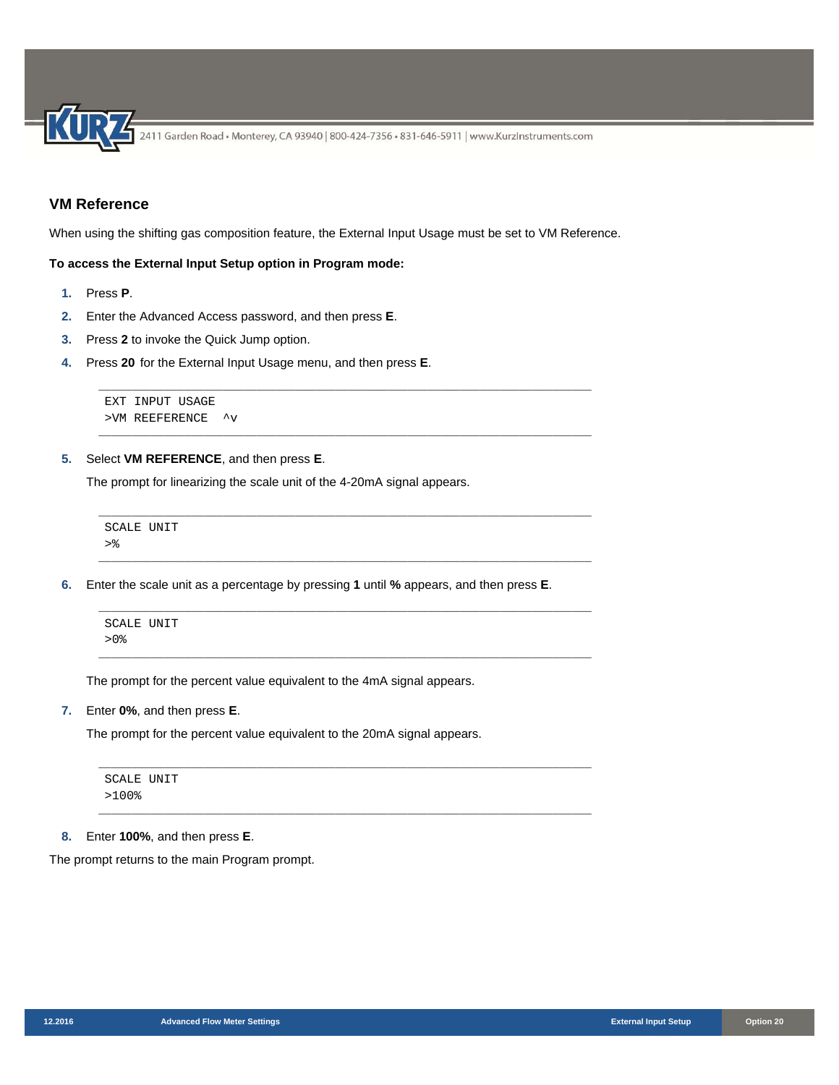# **VM Reference**

When using the shifting gas composition feature, the External Input Usage must be set to VM Reference.

\_\_\_\_\_\_\_\_\_\_\_\_\_\_\_\_\_\_\_\_\_\_\_\_\_\_\_\_\_\_\_\_\_\_\_\_\_\_\_\_\_\_\_\_\_\_\_\_\_\_\_\_\_\_\_\_\_\_\_\_\_\_\_\_\_\_\_\_\_\_\_\_\_\_\_

\_\_\_\_\_\_\_\_\_\_\_\_\_\_\_\_\_\_\_\_\_\_\_\_\_\_\_\_\_\_\_\_\_\_\_\_\_\_\_\_\_\_\_\_\_\_\_\_\_\_\_\_\_\_\_\_\_\_\_\_\_\_\_\_\_\_\_\_\_\_\_\_\_\_\_

\_\_\_\_\_\_\_\_\_\_\_\_\_\_\_\_\_\_\_\_\_\_\_\_\_\_\_\_\_\_\_\_\_\_\_\_\_\_\_\_\_\_\_\_\_\_\_\_\_\_\_\_\_\_\_\_\_\_\_\_\_\_\_\_\_\_\_\_\_\_\_\_\_\_\_

\_\_\_\_\_\_\_\_\_\_\_\_\_\_\_\_\_\_\_\_\_\_\_\_\_\_\_\_\_\_\_\_\_\_\_\_\_\_\_\_\_\_\_\_\_\_\_\_\_\_\_\_\_\_\_\_\_\_\_\_\_\_\_\_\_\_\_\_\_\_\_\_\_\_\_

\_\_\_\_\_\_\_\_\_\_\_\_\_\_\_\_\_\_\_\_\_\_\_\_\_\_\_\_\_\_\_\_\_\_\_\_\_\_\_\_\_\_\_\_\_\_\_\_\_\_\_\_\_\_\_\_\_\_\_\_\_\_\_\_\_\_\_\_\_\_\_\_\_\_\_

\_\_\_\_\_\_\_\_\_\_\_\_\_\_\_\_\_\_\_\_\_\_\_\_\_\_\_\_\_\_\_\_\_\_\_\_\_\_\_\_\_\_\_\_\_\_\_\_\_\_\_\_\_\_\_\_\_\_\_\_\_\_\_\_\_\_\_\_\_\_\_\_\_\_\_

### **To access the External Input Setup option in Program mode:**

- **1.** Press **P**.
- **2.** Enter the Advanced Access password, and then press **E**.
- **3.** Press **2** to invoke the Quick Jump option.
- **4.** Press **20** for the External Input Usage menu, and then press **E**.

```
EXT INPUT USAGE 
>VM REEFERENCE ^v
```
**5.** Select **VM REFERENCE**, and then press **E**.

The prompt for linearizing the scale unit of the 4-20mA signal appears.

```
___________________________________________________________________________ 
SCALE UNIT 
>\frac{6}{6}___________________________________________________________________________
```
**6.** Enter the scale unit as a percentage by pressing **1** until **%** appears, and then press **E**.

SCALE UNIT >0%

The prompt for the percent value equivalent to the 4mA signal appears.

**7.** Enter **0%**, and then press **E**.

The prompt for the percent value equivalent to the 20mA signal appears.

```
SCALE UNIT 
>100%
```
**8.** Enter **100%**, and then press **E**.

The prompt returns to the main Program prompt.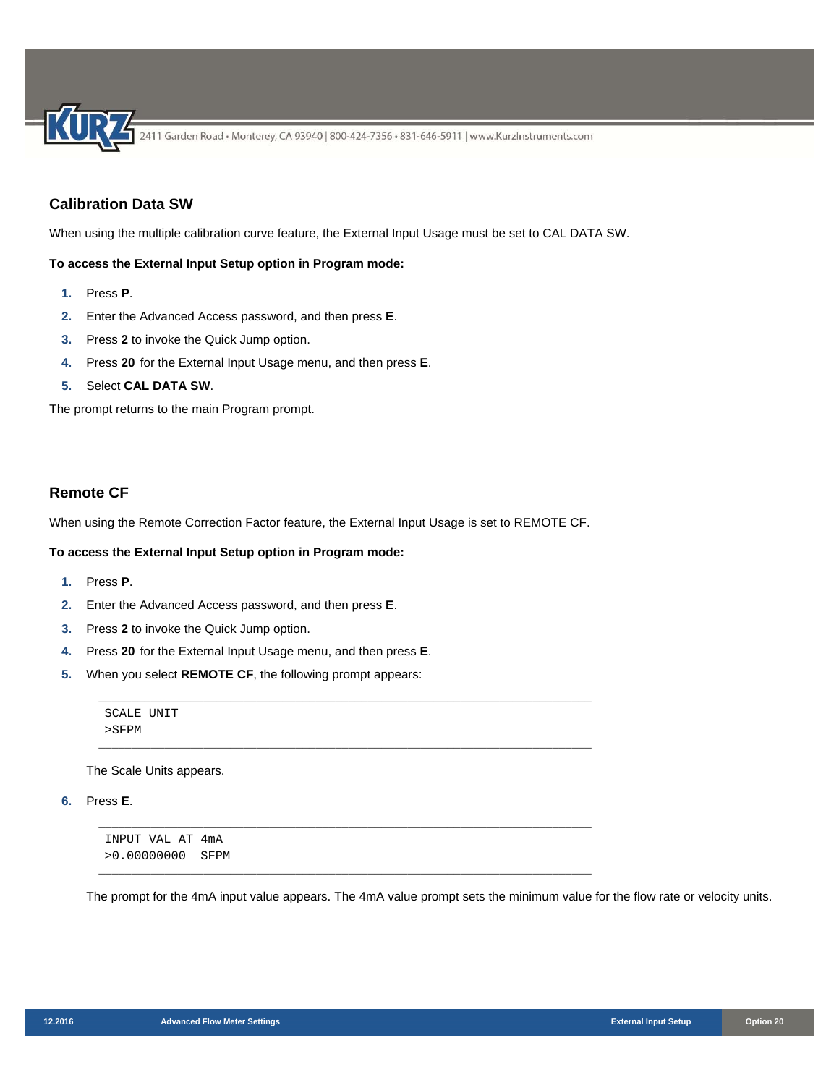# **Calibration Data SW**

When using the multiple calibration curve feature, the External Input Usage must be set to CAL DATA SW.

#### **To access the External Input Setup option in Program mode:**

- **1.** Press **P**.
- **2.** Enter the Advanced Access password, and then press **E**.
- **3.** Press **2** to invoke the Quick Jump option.
- **4.** Press **20** for the External Input Usage menu, and then press **E**.
- **5.** Select **CAL DATA SW**.

The prompt returns to the main Program prompt.

# **Remote CF**

When using the Remote Correction Factor feature, the External Input Usage is set to REMOTE CF.

#### **To access the External Input Setup option in Program mode:**

- **1.** Press **P**.
- **2.** Enter the Advanced Access password, and then press **E**.
- **3.** Press **2** to invoke the Quick Jump option.
- **4.** Press **20** for the External Input Usage menu, and then press **E**.
- **5.** When you select **REMOTE CF**, the following prompt appears:

SCALE UNIT >SFPM \_\_\_\_\_\_\_\_\_\_\_\_\_\_\_\_\_\_\_\_\_\_\_\_\_\_\_\_\_\_\_\_\_\_\_\_\_\_\_\_\_\_\_\_\_\_\_\_\_\_\_\_\_\_\_\_\_\_\_\_\_\_\_\_\_\_\_\_\_\_\_\_\_\_\_

\_\_\_\_\_\_\_\_\_\_\_\_\_\_\_\_\_\_\_\_\_\_\_\_\_\_\_\_\_\_\_\_\_\_\_\_\_\_\_\_\_\_\_\_\_\_\_\_\_\_\_\_\_\_\_\_\_\_\_\_\_\_\_\_\_\_\_\_\_\_\_\_\_\_\_

\_\_\_\_\_\_\_\_\_\_\_\_\_\_\_\_\_\_\_\_\_\_\_\_\_\_\_\_\_\_\_\_\_\_\_\_\_\_\_\_\_\_\_\_\_\_\_\_\_\_\_\_\_\_\_\_\_\_\_\_\_\_\_\_\_\_\_\_\_\_\_\_\_\_\_

\_\_\_\_\_\_\_\_\_\_\_\_\_\_\_\_\_\_\_\_\_\_\_\_\_\_\_\_\_\_\_\_\_\_\_\_\_\_\_\_\_\_\_\_\_\_\_\_\_\_\_\_\_\_\_\_\_\_\_\_\_\_\_\_\_\_\_\_\_\_\_\_\_\_\_

The Scale Units appears.

**6.** Press **E**.

INPUT VAL AT 4mA >0.00000000 SFPM

The prompt for the 4mA input value appears. The 4mA value prompt sets the minimum value for the flow rate or velocity units.